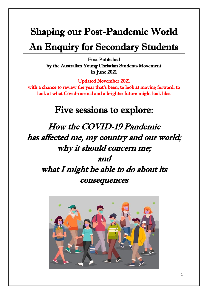# Shaping our Post-Pandemic World An Enquiry for Secondary Students

First Published by the Australian Young Christian Students Movement in June 2021

Updated November 2021

with a chance to review the year that's been, to look at moving forward, to look at what Covid-normal and a brighter future might look like.

# Five sessions to explore:

How the COVID-19 Pandemic has affected me, my country and our world; why it should concern me; and what I might be able to do about its consequences

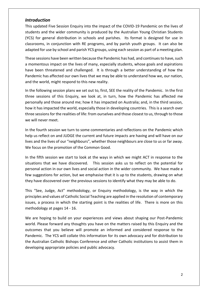#### *Introduction*

This updated Five Session Enquiry into the impact of the COVID-19 Pandemic on the lives of students and the wider community is produced by the Australian Young Christian Students (YCS) for general distribution in schools and parishes. Its format is designed for use in classrooms, in conjunction with RE programs, and by parish youth groups. It can also be adapted for use by school and parish YCS groups, using each session as part of a meeting plan.

These sessions have been written because the Pandemic has had, and continues to have, such a momentous impact on the lives of many, especially students, whose goals and aspirations have been threatened and challenged. It is through a better understanding of how the Pandemic has affected our own lives that we may be able to understand how we, our nation, and the world, might respond to this new reality.

In the following session plans we set out to, first, SEE the reality of the Pandemic. In the first three sessions of this Enquiry, we look at, in turn, how the Pandemic has affected me personally and those around me; how it has impacted on Australia; and, in the third session, how it has impacted the world, especially those in developing countries. This is a search over three sessions for the realities of life: from ourselves and those closest to us, through to those we will never meet.

In the fourth session we turn to some commentaries and reflections on the Pandemic which help us reflect on and JUDGE the current and future impacts are having and will have on our lives and the lives of our "neighbours", whether those neighbours are close to us or far away. We focus on the promotion of the Common Good.

In the fifth session we start to look at the ways in which we might ACT in response to the situations that we have discovered. This session asks us to reflect on the potential for personal action in our own lives and social action in the wider community. We have made a few suggestions for action, but we emphasise that it is up to the students, drawing on what they have discovered over the previous sessions to identify what they may be able to do.

This "See, Judge, Act" methodology, or Enquiry methodology, is the way in which the principles and values of Catholic Social Teaching are applied in the resolution of contemporary issues, a process in which the starting point is the realities of life. There is more on this methodology at pages 14 - 16.

We are hoping to build on your experiences and views about shaping our Post-Pandemic world. Please forward any thoughts you have on the matters raised by this Enquiry and the outcomes that you believe will promote an informed and considered response to the Pandemic. The YCS will collate this information for its own advocacy and for distribution to the Australian Catholic Bishops Conference and other Catholic institutions to assist them in developing appropriate policies and public advocacy.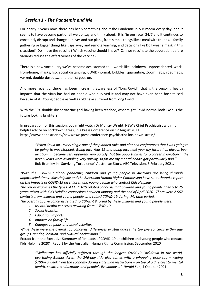# *Session 1 - The Pandemic and Me*

For nearly 2 years now, there has been something about the Pandemic in our media every day, and it seems to have become part of all we do, say and think about. It is "in our face" 24/7 and it continues to constantly disrupt and change our lives and our plans, from simple things like a meal with friends, a family gathering or bigger things like trips away and remote learning; and decisions like Do I wear a mask in this situation? Do I have the vaccine? Which vaccine should I have? Can we vaccinate the population before variants reduce the effectiveness of the vaccine?

There is a new vocabulary we've become accustomed to – words like lockdown, unprecedented, workfrom-home, masks, Iso, social distancing, COVID-normal, bubbles, quarantine, Zoom, jabs, roadmaps, vaxxed, double-dosed…….and the list goes on.

And more recently, there has been increasing awareness of "long Covid", that is the ongoing health impacts that the virus has had on people who survived it and may not have even been hospitalised because of it. Young people as well as old have suffered from long Covid.

With the 80% double-dosed vaccine goal having been reached, what might Covid-normal look like? Is the future looking brighter?

In preparation for this session, you might watch Dr Murray Wright, NSW's Chief Psychiatrist with his helpful advice on Lockdown Stress, in a Press Conference on 12 August 2021 <https://www.pedestrian.tv/news/nsw-press-conference-psychiatrist-lockdown-stress/>

*"When Covid hit…every single one of the planned talks and planned conferences that I was going to be going to was stopped. Going into Year 12 and going into next year my future has always been aviation. It became very apparent very quickly that the opportunities for a career in aviation in the next 5 years were dwindling very quickly, so for me my mental health got particularly bad."*  Bob Bramley in "Surviving Turbulence" Australian Story, ABC Television, 3 February 2021.

*"With the COVID-19 global pandemic, children and young people in Australia are living through unparalleled times. Kids Helpline and the Australian Human Rights Commission have co-authored a report on the impacts of COVID-19 on children and young people who contact Kids Helpline.*

*The report examines the types of COVID-19 related concerns that children and young people aged 5 to 25 years raised with Kids Helpline counsellors between January and the end of April 2020. There were 2,567 contacts from children and young people who raised COVID-19 during this time period.*

*The overall top five concerns related to COVID-19 raised by these children and young people were:*

- *1. Mental health concerns resulting from COVID-19*
- *2. Social isolation*
- *3. Education impacts*
- *4. Impacts on family life*
- *5. Changes to plans and usual activities*

*While these were the overall top concerns, differences existed across the top five concerns within age groups, gender, location, and cultural background."*

Extract from the Executive Summary of "Impacts of COVID-19 on children and young people who contact Kids Helpline 2020", Report by the Australian Human Rights Commission, September 2020

*"Melbourne has officially suffered through the longest Covid-19 Lockdown in the world, overtaking Buenos Aires...the 246-day title also comes with a whopping price tag – wiping \$700m a week from the economy during statewide restrictions – on top of a dire cost to mental health, children's educations and people's livelihoods…" Herald Sun*, 4 October 2021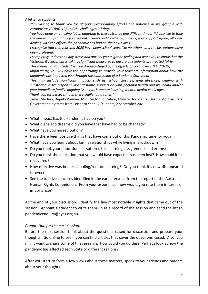A letter to students:

*"I'm writing to thank you for all your extraordinary efforts and patience as we grapple with coronavirus (COVID-19) and the challenges it brings.*

*You have done an amazing job in adapting to these strange and difficult times. I'd also like to take the opportunity to thank your parents, carers and families – for being your support squad, all while dealing with the effects the pandemic has had on their own lives.*

*I recognise that this year and 2020 have been school years like no others, and the disruptions have been profound…*

*I completely understand any stress and anxiety you might be feeling and want you to know that the Victorian Government is taking significant measures to ensure all students are treated fairly.*

*This means no VCE student will be disadvantaged by the effects of coronavirus (COVID-19).*

*Importantly, you will have the opportunity to provide your teachers information about how the pandemic has impacted you through the submission of a Students Statement.*

*This may include significant impacts such as: school closures, long absences, dealing with substantial extra responsibilities at home, impacts on your personal health and wellbeing and/or your immediate family, ongoing issues with remote learning, mental health challenges. Thank you for persevering in these challenging times."*

James Merlino, Deputy Premier, Minister for Education, Minister for Mental Health, Victoria State Government, extracts from Letter to Year 12 Students, 2 September 202[1](https://www.bing.com/search?q=Dr+Wright+press+conference+Nsw&form=ANSPH1&refig=f74e75f0bee44fa9a6fe22acdd0890de&pc=U531)

- What impact has the Pandemic had on you?
- What plans and dreams did you have that have had to be changed?
- What have you missed out on?
- Have there been positive things that have come out of this Pandemic time for you?
- What have you learnt about family relationships while living in a lockdown?
- Do you think your education has suffered? In learning, assignments and exams?
- Do you think the education that you would have expected has been lost? How could it be recovered?
- How effective was home schooling/remote learning? Do you think it's now disappeared forever?
- See the top five concerns identified in the earlier extract from the report of the Australian Human Rights Commission. From your experience, how would you rate them in terms of importance?

At the end of your discussion: Identify the five most notable insights that came out of the session. Appoint a student to write them up as a record of the session and send the list to [pandemicenquiry@aycs.org.au](mailto:pandemicenquiry@aycs.com.au) 

#### *Preparation for the next session:*

Before the next session think about the questions raised for discussion and prepare your thoughts. Go online to see if you can find articles that cover the questions raised. Also, you might want to share some of this research. How could you do this? Perhaps look at how the pandemic has affected each State or different regions?

After you start to form a few views about these matters, speak to your friends and parents about your thoughts.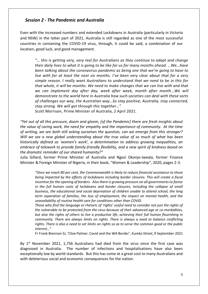#### *Session 2 - The Pandemic and Australia*

Even with the increased numbers and extended Lockdowns in Australia (particularly in Victoria and NSW) in the latter part of 2021, Australia is still regarded as one of the most successful countries in containing the COVID-19 virus, through, it could be said, a combination of our location, good luck, and good management.

*"… this is getting very, very real for Australians as they continue to adapt and change their daily lives to what it is going to be like for us for many months ahead. …We…have been talking about the coronavirus pandemic as being one that we're going to have to live with for at least the next six months. I've been very clear about that for a very simple reason. I really want Australians to understand that we need to be in this for that whole, it will be months. We need to make changes that we can live with and that we can implement day after day, week after week, month after month*…*We will demonstrate to the world here in Australia how such societies can deal with these sorts of challenges our way, the Australian way…So stay positive, Australia, stay connected, stay strong. We will get through this together…"* 

Scott Morrison, Prime Minister of Australia, 2 April 2021.

*"Yet out of all this pressure, doom and gloom, [of the Pandemic] there are fresh insights about the value of caring work, the need for empathy and the importance of community. At the time of writing, we are both still asking ourselves the question, can we emerge from this stronger? Will we see a new global understanding about the true value of so much of what has been historically defined as 'women's work', a determination to address growing inequalities, an embrace of telework to provide family-friendly flexibility, and a new spirit of kindness based on the dramatic reminder of our shared humanity?"*

Julia Gillard, former Prime Minister of Australia and Ngozi Okonjo-Iweala, former Finance Minister & Foreign Minister of Nigeria, in their book, "Women & Leadership", 2020, pages 2-3.

*"Once we reach 80 per cent, the Commonwealth is likely to reduce financial assistance to those being impacted by the effects of lockdowns including border closures. This will create a fiscal incentive for the opening of borders. Also there is growing pressure on all governments to factor*  in the full human costs of lockdowns and border closures, including the collapse of small *business, the educational and social deprivation of children unable to attend school, the long term separation of families, the loss of employment, the impact on mental health, and the unavailability of routine health care for conditions other than COVID.*

*Those who find the language or rhetoric of 'rights' useful need to consider not just the rights of the vulnerable to be protected from the virus because of their advanced age or co-morbidities, but also the rights of others to live a productive life, achieving their full human flourishing in community. There are always limits on rights. There is always a need to balance conflicting rights. There is also a need to set limits on rights so as to serve the common good or the public interest…"*

Fr Frank Brennan SJ, 'Clive Palmer, Covid and the WA Border', *Eureka Street*, 9 September 2021

By  $1<sup>st</sup>$  November 2021, 1,756 Australians had died from the virus since the first case was diagnosed in Australia. The number of infections and hospitalisations have also been exceptionally low by world standards. But this has come at a great cost to many Australians and with deleterious social and economic consequences for the nation.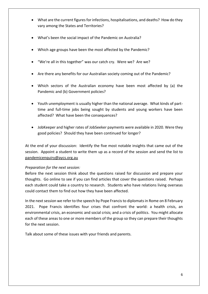- What are the current figures for infections, hospitalisations, and deaths? How do they vary among the States and Territories?
- What's been the social impact of the Pandemic on Australia?
- Which age groups have been the most affected by the Pandemic?
- "We're all in this together" was our catch cry. Were we? Are we?
- Are there any benefits for our Australian society coming out of the Pandemic?
- Which sectors of the Australian economy have been most affected by (a) the Pandemic and (b) Government policies?
- Youth unemployment is usually higher than the national average. What kinds of parttime and full-time jobs being sought by students and young workers have been affected? What have been the consequences?
- JobKeeper and higher rates of JobSeeker payments were available in 2020. Were they good policies? Should they have been continued for longer?

At the end of your discussion: Identify the five most notable insights that came out of the session. Appoint a student to write them up as a record of the session and send the list to [pandemicenquiry@aycs.org.au](mailto:pandemicenquiry@aycs.com.au) 

#### *Preparation for the next session:*

Before the next session think about the questions raised for discussion and prepare your thoughts. Go online to see if you can find articles that cover the questions raised. Perhaps each student could take a country to research. Students who have relations living overseas could contact them to find out how they have been affected.

In the next session we refer to the speech by Pope Francis to diplomats in Rome on 8 February 2021. Pope Francis identifies four crises that confront the world: a health crisis, an environmental crisis, an economic and social crisis; and a crisis of politics. You might allocate each of these areas to one or more members of the group so they can prepare their thoughts for the next session.

Talk about some of these issues with your friends and parents.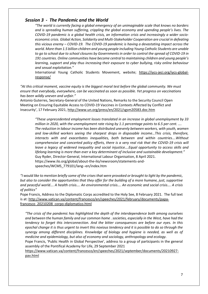#### *Session 3 - The Pandemic and the World*

*"The world is currently facing a global emergency of an unimaginable scale that knows no borders and is spreading human suffering, crippling the global economy and upending people's lives. The COVID-19 pandemic is a global health crisis, an information crisis and increasingly a wider socioeconomic crisis. Global Action, Solidarity and Multi-Stakeholder Cooperation are crucial in defeating this vicious enemy – COVID-19. The COVID-19 pandemic is having a devastating impact across the world. More than 1.5 billion children and young people including Young Catholic Students are unable to go to school due to school closures by Governments in order to control the spread of COVID-19 in 191 countries. Online communities have become central to maintaining children and young people's learning, support and play thus increasing their exposure to cyber bullying, risky online behaviour and sexual exploitation."* 

International Young Catholic Students Movement, website; [https://iycs-jeci.org/iycs-global](https://iycs-jeci.org/iycs-global-response/)[response/](https://iycs-jeci.org/iycs-global-response/)

*"At this critical moment, vaccine equity is the biggest moral test before the global community. We must ensure that everybody, everywhere, can be vaccinated as soon as possible. Yet progress on vaccinations has been wildly uneven and unfair."* 

Antonio Guterres, Secretary-General of the United Nations, Remarks to the Security Council Open Meeting on Ensuring Equitable Access to COVID-19 Vaccines in Contexts Affected by Conflict and Insecurity', 17 February 2021,<http://www.un.org/press/en/2021/sgsm20583.doc.htm>

*"These unprecedented employment losses translated in an increase in global unemployment by 33 million in 2020, with the unemployment rate rising by 1.1 percentage points to 6.5 per cent. …. The reduction in labour income has been distributed unevenly between workers, with youth, women and low-skilled workers seeing the sharpest drops in disposable income…This crisis, therefore, interacts with and exacerbates inequalities, both between and within countries….Without comprehensive and concerted policy efforts, there is a very real risk that the COVID-19 crisis will leave a legacy of widened inequality and social injustice….Equal opportunity to access skills and lifelong learning is more than ever a key determinant of inclusive and sustainable development."*  Guy Ryder, Director-General, International Labour Organisation, 8 April 2021. https://www.ilo.org/global/about-the-ilo/newsroom/statements-andspeeches/WCMS\_779101/lang--en/index.htm

*"I would like to mention briefly some of the crises that were provoked or brought to light by the pandemic, but also to consider the opportunities that they offer for the building of a more humane, just, supportive and peaceful world…. A health crisis…. An environmental crisis…. An economic and social crisis…. A crisis of politics"*

Pope Francis, Address to the Diplomatic Corps accredited to the Holy See, 8 February 2021. The full text is at[: http://www.vatican.va/content/francesco/en/speeches/2021/february/documents/papa](http://www.vatican.va/content/francesco/en/speeches/2021/february/documents/papa-francesco_20210208_corpo-diplomatico.html)[francesco\\_20210208\\_corpo-diplomatico.html](http://www.vatican.va/content/francesco/en/speeches/2021/february/documents/papa-francesco_20210208_corpo-diplomatico.html)

*"The crisis of the pandemic has highlighted the depth of the interdependence both among ourselves and between the human family and our common home . societies, especially in the West, have had the tendency to forget this interconnection. And the bitter consequences are before our eyes. In this epochal change it is thus urgent to invert this noxious tendency and it is possible to do so through the synergy among different disciplines. Knowledge of biology and hygiene is needed, as well as of medicine and epidemiology, but also of economy and sociology, anthropology and ecology.* 

Pope Francis, 'Public Health in Global Perspective', address to a group of participants in the general assembly of the Pontifical Academy for Life, 29 September 2021

[https://www.vatican.va/content/francesco/en/speeches/2021/september/documents/20210927](https://www.vatican.va/content/francesco/en/speeches/2021/september/documents/20210927-pav.html) [pav.html](https://www.vatican.va/content/francesco/en/speeches/2021/september/documents/20210927-pav.html)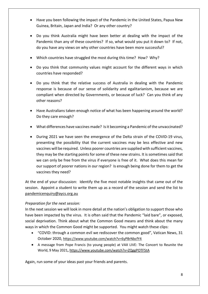- Have you been following the impact of the Pandemic in the United States, Papua New Guinea, Britain, Japan and India? Or any other country?
- Do you think Australia might have been better at dealing with the impact of the Pandemic than any of these countries? If so, what would you put it down to? If not, do you have any views on why other countries have been more successful?
- Which countries have struggled the most during this time? How? Why?
- Do you think that community values might account for the different ways in which countries have responded?
- Do you think that the relative success of Australia in dealing with the Pandemic response is because of our sense of solidarity and egalitarianism, because we are compliant when directed by Governments, or because of luck? Can you think of any other reasons?
- Have Australians taken enough notice of what has been happening around the world? Do they care enough?
- What differences have vaccines made? Is it becoming a Pandemic of the unvaccinated?
- During 2021 we have seen the emergence of the Delta strain of the COVID-19 virus, presenting the possibility that the current vaccines may be less effective and new vaccines will be required. Unless poorer countries are supplied with sufficient vaccines, they may be the starting points for some of these new strains. It is sometimes said that we can only be free from the virus if everyone is free of it. What does this mean for our support of poorer nations in our region? Is enough being done for them to get the vaccines they need?

At the end of your discussion: Identify the five most notable insights that came out of the session. Appoint a student to write them up as a record of the session and send the list to [pandemicenquiry@aycs.org.au](mailto:pandemicenquiry@aycs.com.au) 

#### *Preparation for the next session:*

In the next session we will look in more detail at the nation's obligation to support those who have been impacted by the virus. It is often said that the Pandemic "laid bare", or exposed, social deprivation. Think about what the Common Good means and think about the many ways in which the Common Good might be supported. You might watch these clips:

- "COVID: through a common evil we rediscover the common good", Vatican News, 31 October 2020, <https://www.youtube.com/watch?v=6yP8rNbcfY4>
- A message from Pope Francis (to young people) at VAX LIVE: The Concert to Reunite the World, 9 May 2021**,** <https://www.youtube.com/watch?v=ZQggPOTF5tA>

Again, run some of your ideas past your friends and parents.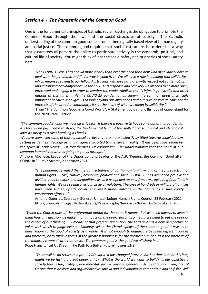#### *Session 4 - The Pandemic and the Common Good*

One of the fundamental principles of Catholic Social Teaching is the obligation to promote the Common Good through the laws and the social structures of society. The Catholic understanding of the common good comes from a theologically based view of human dignity and social justice. The common good requires that social institutions be ordered in a way that guarantees all persons the ability to participate actively in the economic, political, and cultural life of society. You might think of it as the social safety net, or a series of social safety nets.

*"The COVID-19 crisis has shown more clearly than ever the need for a new kind of solidarity both to deal with the pandemic and find a way beyond it. …. We all have a role in building that solidarity – which means speaking to our fellow Australians with love not hate, with respect not contempt, with understanding not indifference. In the COVID-19 response and recovery we all need to be more open, interested and engaged in order to combat the crude tribalism that is infecting Australia and other nations at this time. …. As the COVID-19 pandemic has shown, the common good is critically important because it obliges us to look beyond our own needs and our own desires to consider the interests of the broader community. It's at the heart of what we mean by solidarity."* 

From "The Common Good in a Covid World", A Statement by Catholic Bishops of Queensland for the 2020 State Election

*"The common good is what we must all strive for. If there is a positive to have come out of this pandemic, it's that when push came to shove, the fundamental truth of this spilled across political and ideological lines as surely as a river breaking its banks.*

*We have seen even some of those political parties that are more instinctively tilted towards individualism setting aside their ideology as an indulgence ill-suited to the current reality. It has been superseded by the spirit of inclusiveness. Of togetherness. Of compassion. The understanding that the bond of our common humanity is what is going to get us through."*

Anthony Albanese, Leader of the Opposition and Leader of the ALP, 'Keeping the Common Good after COVID' in "Eureka Street", 2 February 2021.

*"The pandemic revealed the interconnectedness of our human family — and of the full spectrum of human rights — civil, cultural, economic, political and social. COVID-19 has deepened pre-existing divides, vulnerabilities and inequalities, as well as opened up new fractures, including fault-lines in human rights. We are seeing a vicious circle of violations. The lives of hundreds of millions of families have been turned upside down…The latest moral outrage is the failure to ensure equity in vaccination efforts..."*

Antonio Guterres, Secretary-General, United Nations Human Rights Council, 22 February 2021 <http://www.ohchr.org/EN/NewsEvents/Pages/DisplayNews.aspx?NewsID=26769&LangID=E>

*"When the Church talks of the preferential option for the poor, it means that we need always to keep in mind how any decision we make might impact on the poor. But it also means we need to put the poor at the center of our thinking. By means of that preferential option, the Lord gives us a new perspective on value with which to judge events. Similarly, when the Church speaks of the common good it asks us to have regard to the good of society as a whole. It is not enough to adjudicate between different parties and interests, or to think in terms of the greatest happiness for the greatest number, as if the interests of the majority trump all other interests. The common good is the good we all share in…"* Pope Francis, "Let Us Dream: The Path to a Better Future", pages 52-3

*"There will be no return to a pre-COVID world: it has changed forever. Rather than lament this loss, might we be facing a great opportunity? What is the world we want to build? Is our objective a society that is fair, truthful, and merciful; prosperous and generous; democratic and transparent? Or one that is anxious and argumentative; uncivil and individualistic; competitive and selfish? Will*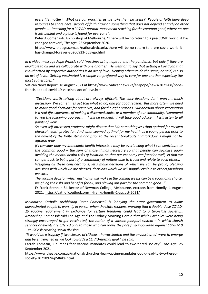*every life matter? What are our priorities as we take the next steps? People of faith have deep resources to share here…people of faith draw on something that does not depend entirely on other people. …. Reaching for a 'COVID-normal' must mean reaching for the common good, where no-one is left behind and a place is found for everyone".*

Peter A Comensoli, Archbishop of Melbourne, "There will be no return to a pre-COVID world; it has changed forever", *The Age*, 23 September 2020.

https://www.theage.com.au/national/victoria/there-will-be-no-return-to-a-pre-covid-world-ithas-changed-forever-20200923-p55ygp.html

*In a video message Pope Francis said "vaccines bring hope to end the pandemic, but only if they are available to all and we collaborate with one another. He went on to say that getting a Covid jab that is authorized by respective authorities is an act of love. Helping others to do the same, he said, is also an act of love… Getting vaccinated is a simple yet profound way to care for one another especially the most vulnerable…"*

Vatican News Report, 18 August 2021 at https://www.vaticannews.va/en/pope/news/2021-08/popefrancis-appeal-covid-19-vaccines-act-of-love.html

*"Decisions worth talking about are always difficult. The easy decisions don't warrant much discussion. We sometimes get told what to do, and for good reason. But more often, we need to make good decisions for ourselves, and for the right reasons. Our decision about vaccination is a real-life experience of making a discerned choice as a member of our community. I commend to you the following approach: I will be prudent. I will take good advice. I will listen to all points of view.*

*So even self-interested prudence might dictate that I do something less than optimal for my own physical health protection. And what seemed optimal for my health as a young person prior to the advent of the Delta strain and prior to the recent breakouts and lockdowns might not be optimal now.*

*If I consider only my immediate health interests, I may be overlooking what I can contribute to the common good – the sum of those things necessary so that people can socialise again avoiding the mental health risks of isolation, so that our economy can function well, so that we can get back to being part of a community of nations able to travel and relate to each other…*

*Weighing all these considerations, let's make decisions of which we can be proud, pleasing decisions with which we are pleased, decisions which we will happily explain to others for whom we care.*

*The vaccine decision which each of us will make in the coming weeks can be a vocational choice, weighing the risks and benefits for all, and playing our part for the common good…"*

Fr Frank Brennan SJ, Rector of Newman College, Melbourne, extracts from Homily, 1 August 2021.<https://catholicoutlook.org/fr-franks-homily-1-august-2021/>

*Melbourne Catholic Archbishop Peter Comensoli is lobbying the state government to allow unvaccinated people to worship in person when the state reopens, warning that a double-dose COVID-19 vaccine requirement in exchange for certain freedoms could lead to a two-class society…. Archbishop Comensoli told* The Age *and* The Sydney Morning Herald *that while Catholics were being strongly encouraged to get vaccinated, the notion of a vaccine passport system – in which church services or events are offered only to those who can prove they are fully inoculated against COVID-19 – could risk creating social division.*

"It would be a tragedy if two classes of citizens, the vaccinated and the unvaccinated, were to emerge *and be entrenched as we look towards a COVID-normal goal," he said.*

Farrah Tomazin, 'Churches fear vaccine mandates could lead to two-tiered society", *The Age*, 25 September 2021

[https://www.theage.com.au/national/churches-fear-vaccine-mandates-could-lead-to-two-tiered](https://www.theage.com.au/national/churches-fear-vaccine-mandates-could-lead-to-two-tiered-society-20210924-p58uke.html)[society-20210924-p58uke.html](https://www.theage.com.au/national/churches-fear-vaccine-mandates-could-lead-to-two-tiered-society-20210924-p58uke.html)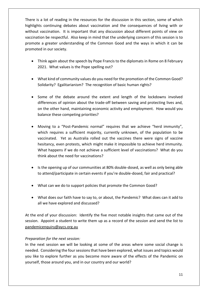There is a lot of reading in the resources for the discussion in this section, some of which highlights continuing debates about vaccination and the consequences of living with or without vaccination. It is important that any discussion about different points of view on vaccination be respectful. Also keep in mind that the underlying concern of this session is to promote a greater understanding of the Common Good and the ways in which it can be promoted in our society.

- Think again about the speech by Pope Francis to the diplomats in Rome on 8 February 2021. What values is the Pope spelling out?
- What kind of community values do you need for the promotion of the Common Good? Solidarity? Egalitarianism? The recognition of basic human rights?
- Some of the debate around the extent and length of the lockdowns involved differences of opinion about the trade-off between saving and protecting lives and, on the other hand, maintaining economic activity and employment. How would you balance these competing priorities?
- Moving to a "Post-Pandemic normal" requires that we achieve "herd immunity", which requires a sufficient majority, currently unknown, of the population to be vaccinated. Yet as Australia rolled out the vaccines there were signs of vaccine hesitancy, even protests, which might make it impossible to achieve herd immunity. What happens if we do not achieve a sufficient level of vaccinations? What do you think about the need for vaccinations?
- Is the opening up of our communities at 80% double-dosed, as well as only being able to attend/participate in certain events if you're double-dosed, fair and practical?
- What can we do to support policies that promote the Common Good?
- What does our faith have to say to, or about, the Pandemic? What does can it add to all we have explored and discussed?

At the end of your discussion: Identify the five most notable insights that came out of the session. Appoint a student to write them up as a record of the session and send the list to [pandemicenquiry@aycs.org.au](mailto:pandemicenquiry@aycs.com.au) 

#### *Preparation for the next session:*

In the next session we will be looking at some of the areas where some social change is needed. Considering the four sessions that have been explored, what issues and topics would you like to explore further as you become more aware of the effects of the Pandemic on yourself, those around you, and in our country and our world?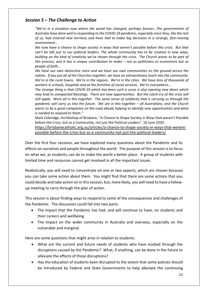# *Session 5 – The Challenge to Action*

*"We're in a situation now where the world has changed, perhaps forever…The governments of Australia have done well in responding to the COVID-19 pandemic, especially since they, like the rest of us, had entered new territory and have had to make big decisions in a strange, fast-moving environment…*

*We now have a chance to shape society in ways that weren't possible before this crisis. But that can't be left just to our political leaders. The whole community has to be creative in new ways, building on the kind of creativity we've shown through the crisis. The Church wants to be part of this process, and it has a unique contribution to make – not as politicians or economists but as people of faith…*

*We have our own distinctive voice and we have our own communities on the ground across the nation. If you put all of the Churches together, we have an extraordinary reach into the community. We're in the rural towns. We're in the regions. We're in the cities. We have tens of thousands of workers in schools, hospitals and at the frontline of social services. We're everywhere...*

*The strange thing is that COVID-19 which has been such a curse is also opening new doors which may lead to unexpected blessings. There are new opportunities. But the catch-cry of the crisis will still apply: Were all in this together. The same sense of solidarity that is carrying us through the pandemic will carry us into the future. We are in this together – all Australians; and the Church wants to be a good companion on the road ahead, helping to identify new opportunities and what is needed to respond to them."* 

Mark Coleridge, Archbishop of Brisbane, "A Chance to Shape Society in Ways that weren't Possible before the Crisis; but as a Community, not just the Political Leaders", 10 June 2020 .

[https://brisbanecatholic.org.au/articles/a-chance-to-shape-society-in-ways-that-werent](https://brisbanecatholic.org.au/articles/a-chance-to-shape-society-in-ways-that-werent-possible-before-the-crisis-but-as-a-community-not-just-the-political-leaders/)[possible-before-the-crisis-but-as-a-community-not-just-the-political-leaders/](https://brisbanecatholic.org.au/articles/a-chance-to-shape-society-in-ways-that-werent-possible-before-the-crisis-but-as-a-community-not-just-the-political-leaders/)

Over the first four sessions, we have explored many questions about the Pandemic and its effects on ourselves and people throughout the world. The purpose of this session is to focus on what we, as students, can do to make the world a better place. A group of students with limited time and resources cannot get involved in all the important issues.

Realistically, you will need to concentrate on one or two aspects, which are chosen because you can take some action about them. You might find that there are some actions that you could decide and take action on in this session, but, more likely, you will need to have a followup meeting to carry through the plan of action.

This session is about finding ways to respond to some of the consequences and challenges of the Pandemic. The discussion could fall into two parts:

- The impact that the Pandemic has had, and will continue to have, on students and their careers and wellbeing.
- The impact on the wider community in Australia and overseas, especially on the vulnerable and marginal.

Here are some questions that might arise in relation to students:

- What are the current and future needs of students who have studied through the disruptions caused by the Pandemic? What, if anything, can be done in the future to alleviate the effects of those disruptions?
- Has the education of students been disrupted to the extent that some policies should be introduced by Federal and State Governments to help alleviate the continuing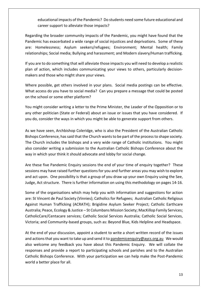educational impacts of the Pandemic? Do students need some future educational and career support to alleviate those impacts?

Regarding the broader community impacts of the Pandemic, you might have found that the Pandemic has exacerbated a wide range of social injustices and deprivations. Some of these are: Homelessness; Asylum seekers/refugees; Environment; Mental health; Family relationships; Social media; Bullying and harassment; and Modern slavery/Human trafficking.

If you are to do something that will alleviate those impacts you will need to develop a realistic plan of action, which includes communicating your views to others, particularly decisionmakers and those who might share your views.

Where possible, get others involved in your plans. Social media postings can be effective. What access do you have to social media? Can you prepare a message that could be posted on the school or some other platform?

You might consider writing a letter to the Prime Minister, the Leader of the Opposition or to any other politician (State or Federal) about an issue or issues that you have considered. If you do, consider the ways in which you might be able to generate support from others.

As we have seen, Archbishop Coleridge, who is also the President of the Australian Catholic Bishops Conference, has said that the Church wants to be part of the process to shape society. The Church includes the bishops and a very wide range of Catholic institutions. You might also consider writing a submission to the Australian Catholic Bishops Conference about the way in which your think it should advocate and lobby for social change.

Are these five Pandemic Enquiry sessions the end of your time of enquiry together? These sessions may have raised further questions for you and further areas you may wish to explore and act upon. One possibility is that a group of you draw up your own Enquiry using the See, Judge, Act structure. There is further information on using this methodology on pages 14-16.

Some of the organisations which may help you with information and suggestions for action are: St Vincent de Paul Society (Vinnies); Catholics for Refugees; Australian Catholic Religious Against Human Trafficking (ACRATH); Brigidine Asylum Seeker Project; Catholic Earthcare Australia; Peace, Ecology & Justice – St Columbans Mission Society; MacKillop Family Services; CatholicCare/Centacare services; Catholic Social Services Australia; Catholic Social Services, Victoria; and Community-based groups, such as: Beyond Blue, Kids Helpline and Headspace.

At the end of your discussion, appoint a student to write a short written record of the issues and actions that you want to take up and send it to [pandemicenquiry@aycs.org.au](mailto:pandemicenquiry@aycs.com.au) We would also welcome any feedback you have about this Pandemic Enquiry. We will collate the responses and provide a report to participating schools and parishes and to the Australian Catholic Bishops Conference. With your participation we can help make the Post-Pandemic world a better place for all.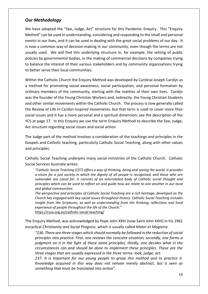# *Our Methodology*

We have adopted the "See, Judge, Act" structure for this Pandemic Enquiry. This "Enquiry Method" can be used in understanding, considering and responding to the small and personal events in our lives, and it can be used in dealing with the great social problems of our day. It is now a common way of decision-making in our community, even though the terms are not usually used. We will find this underlying structure in, for example, the setting of public policies by governmental bodies, in the making of commercial decisions by companies trying to balance the interest of their various stakeholders and by community organisations trying to better serve their local communities.

Within the Catholic Church the Enquiry Method was developed by Cardinal Joseph Cardijn as a method for promoting social awareness, social participation, and personal formation by ordinary members of the community, starting with the realities of their own lives. Cardijn was the founder of the Young Christian Workers and, indirectly, the Young Christian Students and other similar movements within the Catholic Church. The process is now generally called the Review of Life in Cardijn-inspired movements, but that term is used to cover more than social issues and it has a more personal and a spiritual dimension; see the description of the YCS at page 17. In this Enquiry we use the term Enquiry Method to describe the See, Judge, Act structure regarding social issues and social action.

The Judge part of the method involves a consideration of the teachings and principles in the Gospels and Catholic teaching, particularly Catholic Social Teaching, along with other values and principles.

Catholic Social Teaching underpins many social ministries of the Catholic Church. Catholic Social Services Australia writes:

*"Catholic Social Teaching (CST) offers a way of thinking, being and seeing the world. It provides a vision for a just society in which the dignity of all people is recognised, and those who are vulnerable are cared for. It consists of an interrelated body of Catholic social thought and principles which can be used to reflect on and guide how we relate to one another in our local and global communities.*

*The perspective and principles of Catholic Social Teaching are a rich heritage, developed as the Church has engaged with key social issues throughout history. Catholic Social Teaching includes insight from the Scriptures, as well as understanding from the thinking, reflections and lived experience of people throughout the life of the Church."* <https://cssa.org.au/catholic-social-teaching/>

The Enquiry Method, was acknowledged by Pope John XXIII (now Saint John XXIII) in his 1961 encyclical *Christianity and Social Progress*, which is usually called *Mater et Magistra*:

*"236. There are three stages which should normally be followed in the reduction of social principles into practice. First, one reviews the concrete situation; secondly, one forms a judgment on it in the light of these same principles; thirdly, one decides what in the circumstances can and should be done to implement these principles. These are the three stages that are usually expressed in the three terms: look, judge, act.* 

*237. It is important for our young people to grasp this method and to practice it. Knowledge acquired in this way does not remain merely abstract, but is seen as something that must be translated into action".*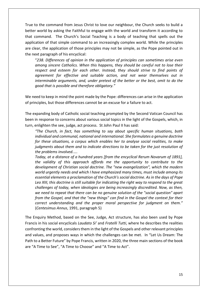True to the command from Jesus Christ to love our neighbour, the Church seeks to build a better world by asking the Faithful to engage with the world and transform it according to that command. The Church's Social Teaching is a body of teaching that spells out the application of that simple command to an increasingly complex world. While the principles are clear, the application of those principles may not be simple, as the Pope pointed out in the next paragraph of his encyclical:

"*238. Differences of opinion in the application of principles can sometimes arise even among sincere Catholics. When this happens, they should be careful not to lose their respect and esteem for each other. Instead, they should strive to find points of agreement for effective and suitable action, and not wear themselves out in interminable arguments, and, under pretext of the better or the best, omit to do the good that is possible and therefore obligatory."* 

We need to keep in mind the point made by the Pope: differences can arise in the application of principles, but those differences cannot be an excuse for a failure to act.

The expanding body of Catholic social teaching prompted by the Second Vatican Council has been in response to concerns about various social topics in the light of the Gospels, which, in turn, enlighten the see, judge, act process. St John Paul II has said:

*"The Church, in fact, has something to say about specific human situations, both individual and communal, national and international. She formulates a genuine doctrine for these situations, a corpus which enables her to analyse social realities, to make judgments about them and to indicate directions to be taken for the just resolution of the problems involved.*….

*Today, at a distance of a hundred years [from the encyclical Rerum Novarum of 1891], the validity of this approach affords me the opportunity to contribute to the development of Christian social doctrine. The "new evangelization", which the modern world urgently needs and which I have emphasized many times, must include among its essential elements a proclamation of the Church's social doctrine. As in the days of Pope Leo XIII, this doctrine is still suitable for indicating the right way to respond to the great challenges of today, when ideologies are being increasingly discredited. Now, as then, we need to repeat that there can be no genuine solution of the "social question" apart from the Gospel, and that the "new things" can find in the Gospel the context for their correct understanding and the proper moral perspective for judgment on them."* (*Centesimus Annus*, 1991, paragraph 5)

The Enquiry Method, based on the See, Judge, Act structure, has also been used by Pope Francis in his social encyclicals *Laudato Si'* and *Fratelli Tutti*, where he describes the realities confronting the world, considers them in the light of the Gospels and other relevant principles and values, and proposes ways in which the challenges can be met. In "Let Us Dream: The Path to a Better Future" by Pope Francis, written in 2020, the three main sections of the book are "A Time to See", "A Time to Choose" and "A Time to Act".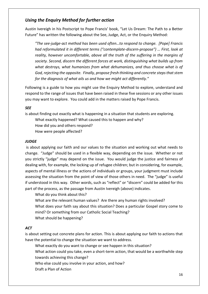# *Using the Enquiry Method for further action*

Austin Ivereigh in his Postscript to Pope Francis' book, "Let Us Dream: The Path to a Better Future" has written the following about the See, Judge, Act, or the Enquiry Method:

*"The see-judge-act method has been used often…to respond to change. [Pope] Francis had reformulated it in different terms ("contemplate-discern-propose") … First, look at reality, however uncomfortable, above all the truth of the suffering in the margins of society. Second, discern the different forces at work, distinguishing what builds up from what destroys, what humanizes from what dehumanizes, and thus choose what is of God, rejecting the opposite. Finally, propose fresh thinking and concrete steps that stem for the diagnosis of what ails us and how we might act differently."*

Following is a guide to how you might use the Enquiry Method to explore, understand and respond to the range of issues that have been raised in these five sessions or any other issues you may want to explore. You could add in the matters raised by Pope Francis.

#### *SEE*

is about finding out exactly what is happening in a situation that students are exploring.

- What exactly happened? What caused this to happen and why? How did you and others respond?
- How were people affected?

#### *JUDGE*

is about applying our faith and our values to the situation and working out what needs to change. "Judge" should be used in a flexible way, depending on the issue. Whether or not you strictly "judge" may depend on the issue. You would judge the justice and fairness of dealing with, for example, the locking up of refugee children; but in considering, for example, aspects of mental illness or the actions of individuals or groups, your judgment must include assessing the situation from the point of view of those others in need. The "judge" is useful if understood in this way. Other words, such as "reflect" or "discern" could be added for this part of the process, as the passage from Austin Ivereigh (above) indicates.

What do you think about this?

What are the relevant human values? Are there any human rights involved? What does your faith say about this situation? Does a particular Gospel story come to mind? Or something from our Catholic Social Teaching? What should be happening?

#### *ACT*

is about setting out concrete plans for action. This is about applying our faith to actions that have the potential to change the situation we want to address.

What exactly do you want to change or see happen in this situation?

What action could you take, even a short-term action, that would be a worthwhile step towards achieving this change?

Who else could you involve in your action, and how?

Draft a Plan of Action